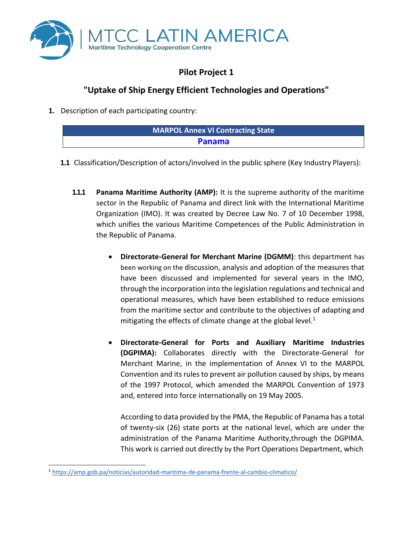

# **Pilot Project 1**

## **"Uptake of Ship Energy Efficient Technologies and Operations"**

**1.** Description of each participating country:

| <b>MARPOL Annex VI Contracting State</b> |  |
|------------------------------------------|--|
| <b>Panama</b>                            |  |
|                                          |  |

- **1.1** Classification/Description of actors/involved in the public sphere (Key Industry Players):
	- **1.1.1 Panama Maritime Authority (AMP):** It is the supreme authority of the maritime sector in the Republic of Panama and direct link with the International Maritime Organization (IMO). It was created by Decree Law No. 7 of 10 December 1998, which unifies the various Maritime Competences of the Public Administration in the Republic of Panama.
		- **Directorate-General for Merchant Marine (DGMM)**: this department has been working on the discussion, analysis and adoption of the measures that have been discussed and implemented for several years in the IMO, through the incorporation into the legislation regulations and technical and operational measures, which have been established to reduce emissions from the maritime sector and contribute to the objectives of adapting and mitigating the effects of climate change at the global level. $1$
		- **Directorate-General for Ports and Auxiliary Maritime Industries (DGPIMA):** Collaborates directly with the Directorate-General for Merchant Marine, in the implementation of Annex VI to the MARPOL Convention and its rules to prevent air pollution caused by ships, by means of the 1997 Protocol, which amended the MARPOL Convention of 1973 and, entered into force internationally on 19 May 2005.

According to data provided by the PMA, the Republic of Panama has a total of twenty-six (26) state ports at the national level, which are under the administration of the Panama Maritime Authority,through the DGPIMA. This work is carried out directly by the Port Operations Department, which

<sup>1</sup> <https://amp.gob.pa/noticias/autoridad-maritima-de-panama-frente-al-cambio-climatico/>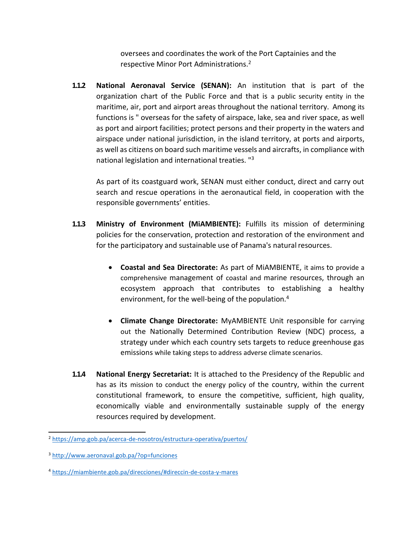oversees and coordinates the work of the Port Captainies and the respective Minor Port Administrations.<sup>2</sup>

**1.1.2 National Aeronaval Service (SENAN):** An institution that is part of the organization chart of the Public Force and that is a public security entity in the maritime, air, port and airport areas throughout the national territory. Among its functions is " overseas for the safety of airspace, lake, sea and river space, as well as port and airport facilities; protect persons and their property in the waters and airspace under national jurisdiction, in the island territory, at ports and airports, as well as citizens on board such maritime vessels and aircrafts, in compliance with national legislation and international treaties. "<sup>3</sup>

As part of its coastguard work, SENAN must either conduct, direct and carry out search and rescue operations in the aeronautical field, in cooperation with the responsible governments' entities.

- **1.1.3 Ministry of Environment (MiAMBIENTE):** Fulfills its mission of determining policies for the conservation, protection and restoration of the environment and for the participatory and sustainable use of Panama's natural resources.
	- **Coastal and Sea Directorate:** As part of MiAMBIENTE, it aims to provide a comprehensive management of coastal and marine resources, through an ecosystem approach that contributes to establishing a healthy environment, for the well-being of the population.<sup>4</sup>
	- **Climate Change Directorate:** MyAMBIENTE Unit responsible for carrying out the Nationally Determined Contribution Review (NDC) process, a strategy under which each country sets targets to reduce greenhouse gas emissions while taking steps to address adverse climate scenarios.
- **1.1.4 National Energy Secretariat:** It is attached to the Presidency of the Republic and has as its mission to conduct the energy policy of the country, within the current constitutional framework, to ensure the competitive, sufficient, high quality, economically viable and environmentally sustainable supply of the energy resources required by development.

<sup>&</sup>lt;sup>2</sup> <https://amp.gob.pa/acerca-de-nosotros/estructura-operativa/puertos/>

<sup>3</sup> <http://www.aeronaval.gob.pa/?op=funciones>

<sup>4</sup> <https://miambiente.gob.pa/direcciones/#direccin-de-costa-y-mares>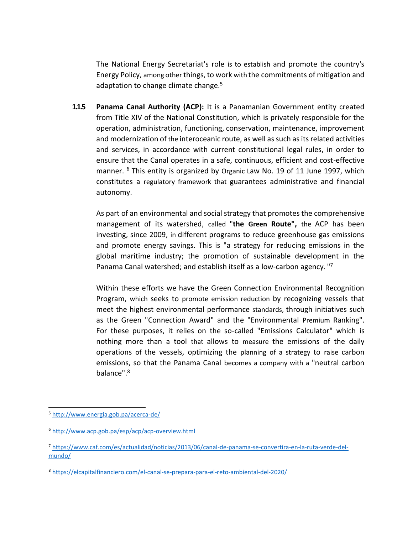The National Energy Secretariat's role is to establish and promote the country's Energy Policy, among other things, to work with the commitments of mitigation and adaptation to change climate change.<sup>5</sup>

**1.1.5 Panama Canal Authority (ACP):** It is a Panamanian Government entity created from Title XIV of the National Constitution, which is privately responsible for the operation, administration, functioning, conservation, maintenance, improvement and modernization of the interoceanic route, as well as such as its related activities and services, in accordance with current constitutional legal rules, in order to ensure that the Canal operates in a safe, continuous, efficient and cost-effective manner. <sup>6</sup> This entity is organized by Organic Law No. 19 of 11 June 1997, which constitutes a regulatory framework that guarantees administrative and financial autonomy.

As part of an environmental and social strategy that promotes the comprehensive management of its watershed, called "**the Green Route",** the ACP has been investing, since 2009, in different programs to reduce greenhouse gas emissions and promote energy savings. This is "a strategy for reducing emissions in the global maritime industry; the promotion of sustainable development in the Panama Canal watershed; and establish itself as a low-carbon agency. "7

Within these efforts we have the Green Connection Environmental Recognition Program, which seeks to promote emission reduction by recognizing vessels that meet the highest environmental performance standards, through initiatives such as the Green "Connection Award" and the "Environmental Premium Ranking". For these purposes, it relies on the so-called "Emissions Calculator" which is nothing more than a tool that allows to measure the emissions of the daily operations of the vessels, optimizing the planning of a strategy to raise carbon emissions, so that the Panama Canal becomes a company with a "neutral carbon balance".<sup>8</sup>

<sup>5</sup> <http://www.energia.gob.pa/acerca-de/>

<sup>6</sup> <http://www.acp.gob.pa/esp/acp/acp-overview.html>

<sup>7</sup> [https://www.caf.com/es/actualidad/noticias/2013/06/canal-de-panama-se-convertira-en-la-ruta-verde-del](https://www.caf.com/es/actualidad/noticias/2013/06/canal-de-panama-se-convertira-en-la-ruta-verde-del-mundo/)[mundo/](https://www.caf.com/es/actualidad/noticias/2013/06/canal-de-panama-se-convertira-en-la-ruta-verde-del-mundo/)

<sup>&</sup>lt;sup>8</sup> <https://elcapitalfinanciero.com/el-canal-se-prepara-para-el-reto-ambiental-del-2020/>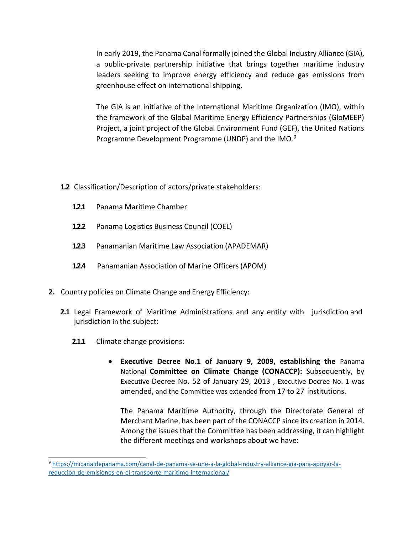In early 2019, the Panama Canal formally joined the Global Industry Alliance (GIA), a public-private partnership initiative that brings together maritime industry leaders seeking to improve energy efficiency and reduce gas emissions from greenhouse effect on international shipping.

The GIA is an initiative of the International Maritime Organization (IMO), within the framework of the Global Maritime Energy Efficiency Partnerships (GloMEEP) Project, a joint project of the Global Environment Fund (GEF), the United Nations Programme Development Programme (UNDP) and the IMO.<sup>9</sup>

- **1.2** Classification/Description of actors/private stakeholders:
	- **1.2.1** Panama Maritime Chamber
	- **1.2.2** Panama Logistics Business Council (COEL)
	- **1.2.3** Panamanian Maritime Law Association (APADEMAR)
	- **1.2.4** Panamanian Association of Marine Officers(APOM)
- **2.** Country policies on Climate Change and Energy Efficiency:
	- **2.1** Legal Framework of Maritime Administrations and any entity with jurisdiction and jurisdiction in the subject:
		- **2.1.1** Climate change provisions:
			- **Executive Decree No.1 of January 9, 2009, establishing the** Panama National **Committee on Climate Change (CONACCP):** Subsequently, by Executive Decree No. 52 of January 29, 2013 , Executive Decree No. 1 was amended, and the Committee was extended from 17 to 27 institutions.

The Panama Maritime Authority, through the Directorate General of Merchant Marine, has been part of the CONACCP since its creation in 2014. Among the issues that the Committee has been addressing, it can highlight the different meetings and workshops about we have:

<sup>9</sup> [https://micanaldepanama.com/canal-de-panama-se-une-a-la-global-industry-alliance-gia-para-apoyar-la](https://micanaldepanama.com/canal-de-panama-se-une-a-la-global-industry-alliance-gia-para-apoyar-la-reduccion-de-emisiones-en-el-transporte-maritimo-internacional/)[reduccion-de-emisiones-en-el-transporte-maritimo-internacional/](https://micanaldepanama.com/canal-de-panama-se-une-a-la-global-industry-alliance-gia-para-apoyar-la-reduccion-de-emisiones-en-el-transporte-maritimo-internacional/)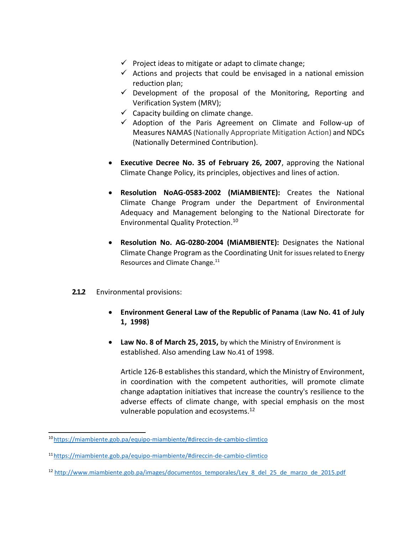- $\checkmark$  Project ideas to mitigate or adapt to climate change;
- $\checkmark$  Actions and projects that could be envisaged in a national emission reduction plan;
- $\checkmark$  Development of the proposal of the Monitoring, Reporting and Verification System (MRV);
- $\checkmark$  Capacity building on climate change.
- ✓ Adoption of the Paris Agreement on Climate and Follow-up of Measures NAMAS (Nationally Appropriate Mitigation Action) and NDCs (Nationally Determined Contribution).
- **Executive Decree No. 35 of February 26, 2007**, approving the National Climate Change Policy, its principles, objectives and lines of action.
- **Resolution NoAG-0583-2002 (MiAMBIENTE):** Creates the National Climate Change Program under the Department of Environmental Adequacy and Management belonging to the National Directorate for Environmental Quality Protection.<sup>10</sup>
- **Resolution No. AG-0280-2004 (MiAMBIENTE):** Designates the National Climate Change Program as the Coordinating Unit for issues related to Energy Resources and Climate Change.<sup>11</sup>

#### **2.1.2** Environmental provisions:

- **Environment General Law of the Republic of Panama** (**Law No. 41 of July 1, 1998)**
- **Law No. 8 of March 25, 2015,** by which the Ministry of Environment is established. Also amending Law No.41 of 1998.

Article 126-B establishes this standard, which the Ministry of Environment, in coordination with the competent authorities, will promote climate change adaptation initiatives that increase the country's resilience to the adverse effects of climate change, with special emphasis on the most vulnerable population and ecosystems.<sup>12</sup>

<sup>10</sup><https://miambiente.gob.pa/equipo-miambiente/#direccin-de-cambio-climtico>

<sup>11</sup><https://miambiente.gob.pa/equipo-miambiente/#direccin-de-cambio-climtico>

<sup>&</sup>lt;sup>12</sup> [http://www.miambiente.gob.pa/images/documentos\\_temporales/Ley\\_8\\_del\\_25\\_de\\_marzo\\_de\\_2015.pdf](http://www.miambiente.gob.pa/images/documentos_temporales/Ley_8_del_25_de_marzo_de_2015.pdf)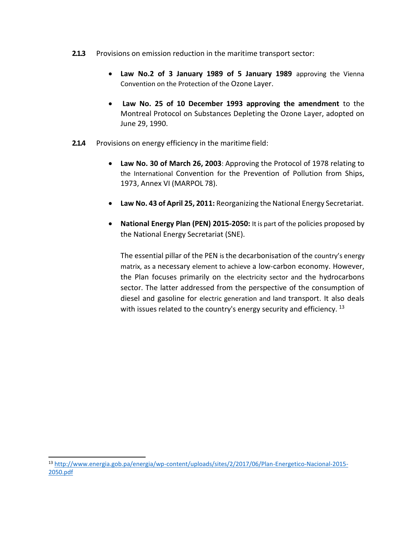- **2.1.3** Provisions on emission reduction in the maritime transport sector:
	- **Law No.2 of 3 January 1989 of 5 January 1989** approving the Vienna Convention on the Protection of the Ozone Layer.
	- **Law No. 25 of 10 December 1993 approving the amendment** to the Montreal Protocol on Substances Depleting the Ozone Layer, adopted on June 29, 1990.
- **2.1.4** Provisions on energy efficiency in the maritime field:
	- **Law No. 30 of March 26, 2003**: Approving the Protocol of 1978 relating to the International Convention for the Prevention of Pollution from Ships, 1973, Annex VI (MARPOL 78).
	- **Law No. 43 of April 25, 2011:** Reorganizing the National Energy Secretariat.
	- **National Energy Plan (PEN) 2015-2050:** It is part of the policies proposed by the National Energy Secretariat (SNE).

The essential pillar of the PEN is the decarbonisation of the country's energy matrix, as a necessary element to achieve a low-carbon economy. However, the Plan focuses primarily on the electricity sector and the hydrocarbons sector. The latter addressed from the perspective of the consumption of diesel and gasoline for electric generation and land transport. It also deals with issues related to the country's energy security and efficiency.  $13$ 

<sup>13</sup> [http://www.energia.gob.pa/energia/wp-content/uploads/sites/2/2017/06/Plan-Energetico-Nacional-2015-](http://www.energia.gob.pa/energia/wp-content/uploads/sites/2/2017/06/Plan-Energetico-Nacional-2015-2050.pdf) [2050.pdf](http://www.energia.gob.pa/energia/wp-content/uploads/sites/2/2017/06/Plan-Energetico-Nacional-2015-2050.pdf)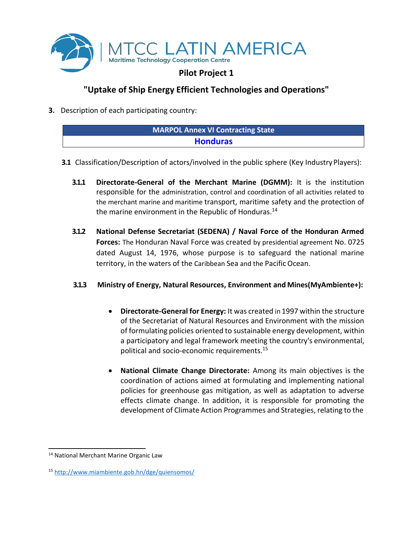

#### **"Uptake of Ship Energy Efficient Technologies and Operations"**

**3.** Description of each participating country:

| <b>MARPOL Annex VI Contracting State</b> |  |
|------------------------------------------|--|
| <b>Honduras</b>                          |  |
|                                          |  |

- **3.1** Classification/Description of actors/involved in the public sphere (Key Industry Players):
	- **3.1.1 Directorate-General of the Merchant Marine (DGMM):** It is the institution responsible for the administration, control and coordination of all activities related to the merchant marine and maritime transport, maritime safety and the protection of the marine environment in the Republic of Honduras.<sup>14</sup>
	- **3.1.2 National Defense Secretariat (SEDENA) / Naval Force of the Honduran Armed Forces:** The Honduran Naval Force was created by presidential agreement No. 0725 dated August 14, 1976, whose purpose is to safeguard the national marine territory, in the waters of the Caribbean Sea and the Pacific Ocean.

#### **3.1.3 Ministry of Energy, Natural Resources, Environment and Mines(MyAmbiente+):**

- **Directorate-General for Energy:** It was created in 1997 within the structure of the Secretariat of Natural Resources and Environment with the mission of formulating policies oriented to sustainable energy development, within a participatory and legal framework meeting the country's environmental, political and socio-economic requirements.<sup>15</sup>
- **National Climate Change Directorate:** Among its main objectives is the coordination of actions aimed at formulating and implementing national policies for greenhouse gas mitigation, as well as adaptation to adverse effects climate change. In addition, it is responsible for promoting the development of Climate Action Programmes and Strategies, relating to the

<sup>14</sup> National Merchant Marine Organic Law

<sup>15</sup> <http://www.miambiente.gob.hn/dge/quiensomos/>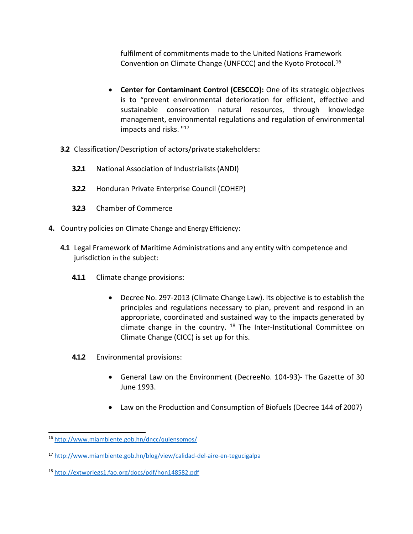fulfilment of commitments made to the United Nations Framework Convention on Climate Change (UNFCCC) and the Kyoto Protocol.<sup>16</sup>

- **Center for Contaminant Control (CESCCO):** One of its strategic objectives is to "prevent environmental deterioration for efficient, effective and sustainable conservation natural resources, through knowledge management, environmental regulations and regulation of environmental impacts and risks. " 17
- **3.2** Classification/Description of actors/private stakeholders:
	- **3.2.1** National Association of Industrialists(ANDI)
	- **3.2.2** Honduran Private Enterprise Council (COHEP)
	- **3.2.3** Chamber of Commerce
- **4.** Country policies on Climate Change and Energy Efficiency:
	- **4.1** Legal Framework of Maritime Administrations and any entity with competence and jurisdiction in the subject:
		- **4.1.1** Climate change provisions:
			- Decree No. 297-2013 (Climate Change Law). Its objective is to establish the principles and regulations necessary to plan, prevent and respond in an appropriate, coordinated and sustained way to the impacts generated by climate change in the country.  $18$  The Inter-Institutional Committee on Climate Change (CICC) is set up for this.
		- **4.1.2** Environmental provisions:
			- General Law on the Environment (DecreeNo. 104-93)- The Gazette of 30 June 1993.
			- Law on the Production and Consumption of Biofuels (Decree 144 of 2007)

<sup>16</sup> <http://www.miambiente.gob.hn/dncc/quiensomos/>

<sup>17</sup> <http://www.miambiente.gob.hn/blog/view/calidad-del-aire-en-tegucigalpa>

<sup>18</sup> <http://extwprlegs1.fao.org/docs/pdf/hon148582.pdf>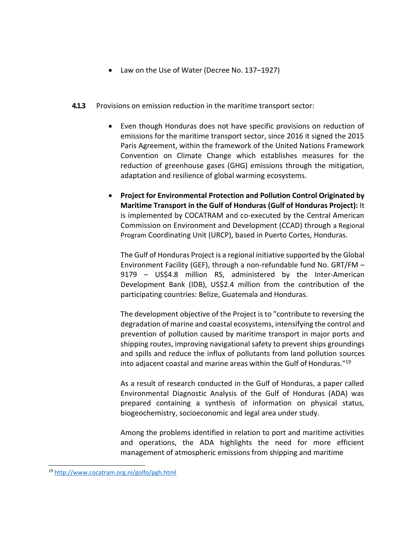- Law on the Use of Water (Decree No. 137–1927)
- **4.1.3** Provisions on emission reduction in the maritime transport sector:
	- Even though Honduras does not have specific provisions on reduction of emissions for the maritime transport sector, since 2016 it signed the 2015 Paris Agreement, within the framework of the United Nations Framework Convention on Climate Change which establishes measures for the reduction of greenhouse gases (GHG) emissions through the mitigation, adaptation and resilience of global warming ecosystems.
	- **Project for Environmental Protection and Pollution Control Originated by Maritime Transport in the Gulf of Honduras (Gulf of Honduras Project):** It is implemented by COCATRAM and co-executed by the Central American Commission on Environment and Development (CCAD) through a Regional Program Coordinating Unit (URCP), based in Puerto Cortes, Honduras.

The Gulf of Honduras Project is a regional initiative supported by the Global Environment Facility (GEF), through a non-refundable fund No. GRT/FM – 9179 – US\$4.8 million RS, administered by the Inter-American Development Bank (IDB), US\$2.4 million from the contribution of the participating countries: Belize, Guatemala and Honduras.

The development objective of the Project is to "contribute to reversing the degradation of marine and coastal ecosystems, intensifying the control and prevention of pollution caused by maritime transport in major ports and shipping routes, improving navigational safety to prevent ships groundings and spills and reduce the influx of pollutants from land pollution sources into adjacent coastal and marine areas within the Gulf of Honduras."<sup>19</sup>

As a result of research conducted in the Gulf of Honduras, a paper called Environmental Diagnostic Analysis of the Gulf of Honduras (ADA) was prepared containing a synthesis of information on physical status, biogeochemistry, socioeconomic and legal area under study.

Among the problems identified in relation to port and maritime activities and operations, the ADA highlights the need for more efficient management of atmospheric emissions from shipping and maritime

<sup>19</sup> <http://www.cocatram.org.ni/golfo/pgh.html>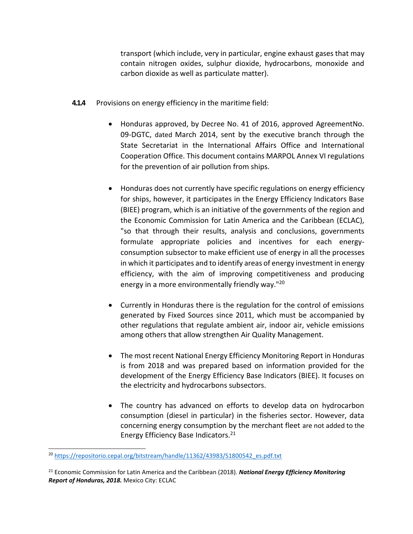transport (which include, very in particular, engine exhaust gases that may contain nitrogen oxides, sulphur dioxide, hydrocarbons, monoxide and carbon dioxide as well as particulate matter).

- **4.1.4** Provisions on energy efficiency in the maritime field:
	- Honduras approved, by Decree No. 41 of 2016, approved AgreementNo. 09-DGTC, dated March 2014, sent by the executive branch through the State Secretariat in the International Affairs Office and International Cooperation Office. This document contains MARPOL Annex VI regulations for the prevention of air pollution from ships.
	- Honduras does not currently have specific regulations on energy efficiency for ships, however, it participates in the Energy Efficiency Indicators Base (BIEE) program, which is an initiative of the governments of the region and the Economic Commission for Latin America and the Caribbean (ECLAC), "so that through their results, analysis and conclusions, governments formulate appropriate policies and incentives for each energyconsumption subsector to make efficient use of energy in all the processes in which it participates and to identify areas of energy investment in energy efficiency, with the aim of improving competitiveness and producing energy in a more environmentally friendly way."<sup>20</sup>
	- Currently in Honduras there is the regulation for the control of emissions generated by Fixed Sources since 2011, which must be accompanied by other regulations that regulate ambient air, indoor air, vehicle emissions among others that allow strengthen Air Quality Management.
	- The most recent National Energy Efficiency Monitoring Report in Honduras is from 2018 and was prepared based on information provided for the development of the Energy Efficiency Base Indicators (BIEE). It focuses on the electricity and hydrocarbons subsectors.
	- The country has advanced on efforts to develop data on hydrocarbon consumption (diesel in particular) in the fisheries sector. However, data concerning energy consumption by the merchant fleet are not added to the Energy Efficiency Base Indicators.<sup>21</sup>

<sup>&</sup>lt;sup>20</sup> [https://repositorio.cepal.org/bitstream/handle/11362/43983/S1800542\\_es.pdf.txt](https://repositorio.cepal.org/bitstream/handle/11362/43983/S1800542_es.pdf.txt)

<sup>21</sup> Economic Commission for Latin America and the Caribbean (2018). *National Energy Efficiency Monitoring Report of Honduras, 2018.* Mexico City: ECLAC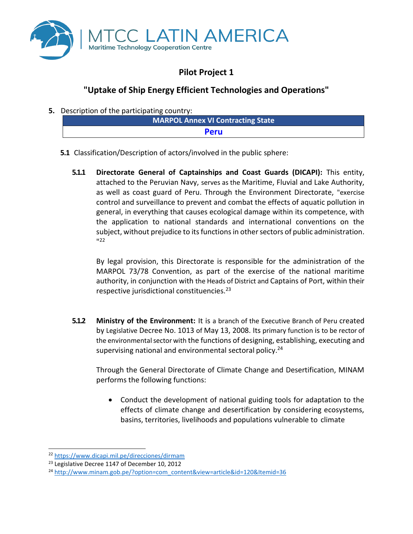

## **Pilot Project 1**

### **"Uptake of Ship Energy Efficient Technologies and Operations"**

**5.** Description of the participating country:

|  | - | MARPOL Annex VI Contracting State |
|--|---|-----------------------------------|
|  |   | <b>Peru</b>                       |
|  |   |                                   |

- **5.1** Classification/Description of actors/involved in the public sphere:
	- **5.1.1 Directorate General of Captainships and Coast Guards (DICAPI):** This entity, attached to the Peruvian Navy, serves as the Maritime, Fluvial and Lake Authority, as well as coast guard of Peru. Through the Environment Directorate, "exercise control and surveillance to prevent and combat the effects of aquatic pollution in general, in everything that causes ecological damage within its competence, with the application to national standards and international conventions on the subject, without prejudice to its functions in other sectors of public administration. " 22

By legal provision, this Directorate is responsible for the administration of the MARPOL 73/78 Convention, as part of the exercise of the national maritime authority, in conjunction with the Heads of District and Captains of Port, within their respective jurisdictional constituencies.<sup>23</sup>

**5.1.2 Ministry of the Environment:** It is a branch of the Executive Branch of Peru created by Legislative Decree No. 1013 of May 13, 2008. Its primary function is to be rector of the environmental sector with the functions of designing, establishing, executing and supervising national and environmental sectoral policy.<sup>24</sup>

Through the General Directorate of Climate Change and Desertification, MINAM performs the following functions:

• Conduct the development of national guiding tools for adaptation to the effects of climate change and desertification by considering ecosystems, basins, territories, livelihoods and populations vulnerable to climate

<sup>22</sup> <https://www.dicapi.mil.pe/direcciones/dirmam>

<sup>&</sup>lt;sup>23</sup> Legislative Decree 1147 of December 10, 2012

<sup>24</sup> [http://www.minam.gob.pe/?option=com\\_content&view=article&id=120&Itemid=36](http://www.minam.gob.pe/?option=com_content&view=article&id=120&Itemid=36)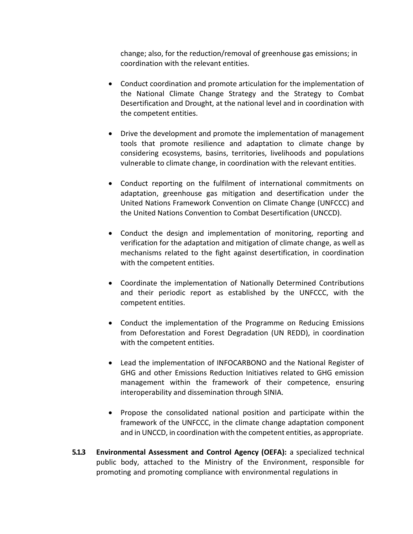change; also, for the reduction/removal of greenhouse gas emissions; in coordination with the relevant entities.

- Conduct coordination and promote articulation for the implementation of the National Climate Change Strategy and the Strategy to Combat Desertification and Drought, at the national level and in coordination with the competent entities.
- Drive the development and promote the implementation of management tools that promote resilience and adaptation to climate change by considering ecosystems, basins, territories, livelihoods and populations vulnerable to climate change, in coordination with the relevant entities.
- Conduct reporting on the fulfilment of international commitments on adaptation, greenhouse gas mitigation and desertification under the United Nations Framework Convention on Climate Change (UNFCCC) and the United Nations Convention to Combat Desertification (UNCCD).
- Conduct the design and implementation of monitoring, reporting and verification for the adaptation and mitigation of climate change, as well as mechanisms related to the fight against desertification, in coordination with the competent entities.
- Coordinate the implementation of Nationally Determined Contributions and their periodic report as established by the UNFCCC, with the competent entities.
- Conduct the implementation of the Programme on Reducing Emissions from Deforestation and Forest Degradation (UN REDD), in coordination with the competent entities.
- Lead the implementation of INFOCARBONO and the National Register of GHG and other Emissions Reduction Initiatives related to GHG emission management within the framework of their competence, ensuring interoperability and dissemination through SINIA.
- Propose the consolidated national position and participate within the framework of the UNFCCC, in the climate change adaptation component and in UNCCD, in coordination with the competent entities, as appropriate.
- **5.1.3 Environmental Assessment and Control Agency (OEFA):** a specialized technical public body, attached to the Ministry of the Environment, responsible for promoting and promoting compliance with environmental regulations in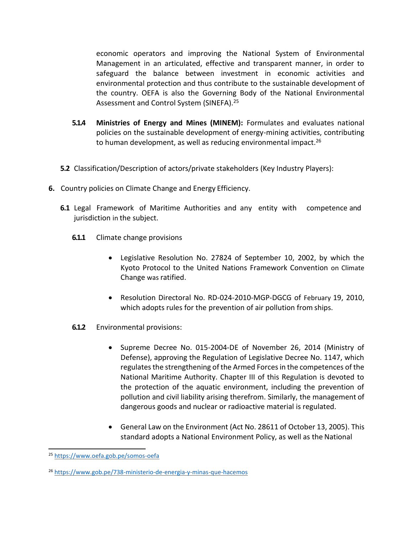economic operators and improving the National System of Environmental Management in an articulated, effective and transparent manner, in order to safeguard the balance between investment in economic activities and environmental protection and thus contribute to the sustainable development of the country. OEFA is also the Governing Body of the National Environmental Assessment and Control System (SINEFA).<sup>25</sup>

- **5.1.4 Ministries of Energy and Mines (MINEM):** Formulates and evaluates national policies on the sustainable development of energy-mining activities, contributing to human development, as well as reducing environmental impact.<sup>26</sup>
- **5.2** Classification/Description of actors/private stakeholders (Key Industry Players):
- **6.** Country policies on Climate Change and Energy Efficiency.
	- **6.1** Legal Framework of Maritime Authorities and any entity with competence and jurisdiction in the subject.
		- **6.1.1** Climate change provisions
			- Legislative Resolution No. 27824 of September 10, 2002, by which the Kyoto Protocol to the United Nations Framework Convention on Climate Change was ratified.
			- Resolution Directoral No. RD-024-2010-MGP-DGCG of February 19, 2010, which adopts rules for the prevention of air pollution from ships.
		- **6.1.2** Environmental provisions:
			- Supreme Decree No. 015-2004-DE of November 26, 2014 (Ministry of Defense), approving the Regulation of Legislative Decree No. 1147, which regulates the strengthening of the Armed Forces in the competences of the National Maritime Authority. Chapter III of this Regulation is devoted to the protection of the aquatic environment, including the prevention of pollution and civil liability arising therefrom. Similarly, the management of dangerous goods and nuclear or radioactive material is regulated.
			- General Law on the Environment (Act No. 28611 of October 13, 2005). This standard adopts a National Environment Policy, as well as the National

<sup>25</sup> <https://www.oefa.gob.pe/somos-oefa>

<sup>26</sup> <https://www.gob.pe/738-ministerio-de-energia-y-minas-que-hacemos>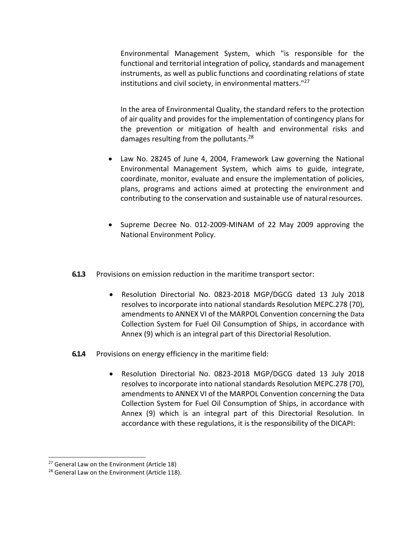Environmental Management System, which "is responsible for the functional and territorial integration of policy, standards and management instruments, as well as public functions and coordinating relations of state institutions and civil society, in environmental matters."<sup>27</sup>

In the area of Environmental Quality, the standard refers to the protection of air quality and provides for the implementation of contingency plans for the prevention or mitigation of health and environmental risks and damages resulting from the pollutants.<sup>28</sup>

- Law No. 28245 of June 4, 2004, Framework Law governing the National Environmental Management System, which aims to guide, integrate, coordinate, monitor, evaluate and ensure the implementation of policies, plans, programs and actions aimed at protecting the environment and contributing to the conservation and sustainable use of naturalresources.
- Supreme Decree No. 012-2009-MINAM of 22 May 2009 approving the National Environment Policy.
- **6.1.3** Provisions on emission reduction in the maritime transport sector:
	- Resolution Directorial No. 0823-2018 MGP/DGCG dated 13 July 2018 resolves to incorporate into national standards Resolution MEPC.278 (70), amendments to ANNEX VI of the MARPOL Convention concerning the Data Collection System for Fuel Oil Consumption of Ships, in accordance with Annex (9) which is an integral part of this Directorial Resolution.
- **6.1.4** Provisions on energy efficiency in the maritime field:
	- Resolution Directorial No. 0823-2018 MGP/DGCG dated 13 July 2018 resolves to incorporate into national standards Resolution MEPC.278 (70), amendments to ANNEX VI of the MARPOL Convention concerning the Data Collection System for Fuel Oil Consumption of Ships, in accordance with Annex (9) which is an integral part of this Directorial Resolution. In accordance with these regulations, it is the responsibility of the DICAPI:

<sup>&</sup>lt;sup>27</sup> General Law on the Environment (Article 18)

<sup>&</sup>lt;sup>28</sup> General Law on the Environment (Article 118).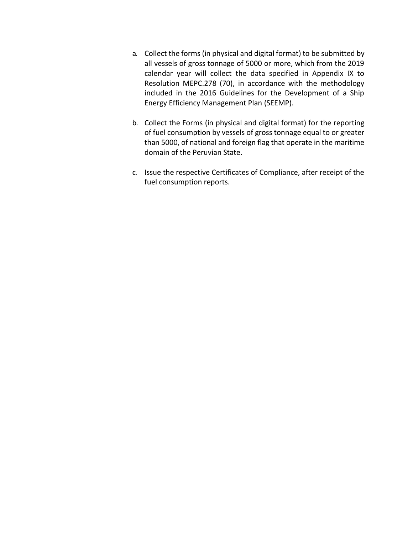- a. Collect the forms (in physical and digital format) to be submitted by all vessels of gross tonnage of 5000 or more, which from the 2019 calendar year will collect the data specified in Appendix IX to Resolution MEPC.278 (70), in accordance with the methodology included in the 2016 Guidelines for the Development of a Ship Energy Efficiency Management Plan (SEEMP).
- b. Collect the Forms (in physical and digital format) for the reporting of fuel consumption by vessels of gross tonnage equal to or greater than 5000, of national and foreign flag that operate in the maritime domain of the Peruvian State.
- c. Issue the respective Certificates of Compliance, after receipt of the fuel consumption reports.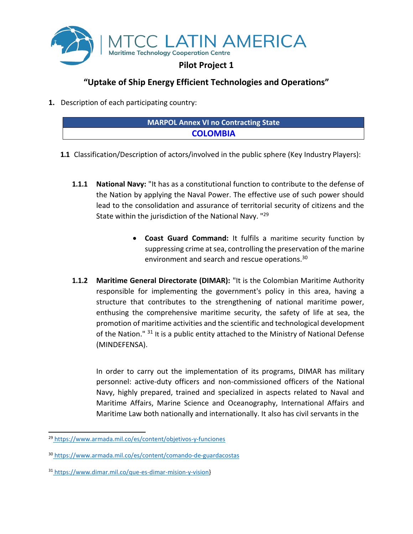

#### **"Uptake of Ship Energy Efficient Technologies and Operations"**

**1.** Description of each participating country:

| <b>MARPOL Annex VI no Contracting State</b> |  |
|---------------------------------------------|--|
| <b>COLOMBIA</b>                             |  |

- **1.1** Classification/Description of actors/involved in the public sphere (Key Industry Players):
	- **1.1.1 National Navy:** "It has as a constitutional function to contribute to the defense of the Nation by applying the Naval Power. The effective use of such power should lead to the consolidation and assurance of territorial security of citizens and the State within the jurisdiction of the National Navy. "<sup>29</sup>
		- **Coast Guard Command:** It fulfils a maritime security function by suppressing crime at sea, controlling the preservation of the marine environment and search and rescue operations.<sup>30</sup>
	- **1.1.2 Maritime General Directorate (DIMAR):** "It is the Colombian Maritime Authority responsible for implementing the government's policy in this area, having a structure that contributes to the strengthening of national maritime power, enthusing the comprehensive maritime security, the safety of life at sea, the promotion of maritime activities and the scientific and technological development of the Nation." <sup>31</sup> It is a public entity attached to the Ministry of National Defense (MINDEFENSA).

In order to carry out the implementation of its programs, DIMAR has military personnel: active-duty officers and non-commissioned officers of the National Navy, highly prepared, trained and specialized in aspects related to Naval and Maritime Affairs, Marine Science and Oceanography, International Affairs and Maritime Law both nationally and internationally. It also has civil servants in the

<sup>29</sup> <https://www.armada.mil.co/es/content/objetivos-y-funciones>

<sup>30</sup> <https://www.armada.mil.co/es/content/comando-de-guardacostas>

<sup>31</sup> [https://www.dimar.mil.co/que-es-dimar-mision-y-vision}](https://www.dimar.mil.co/que-es-dimar-mision-y-vision)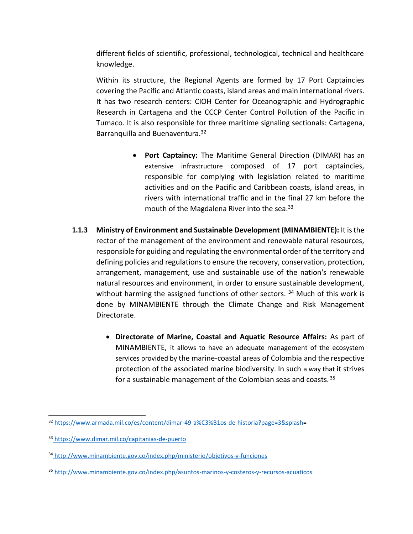different fields of scientific, professional, technological, technical and healthcare knowledge.

Within its structure, the Regional Agents are formed by 17 Port Captaincies covering the Pacific and Atlantic coasts, island areas and main international rivers. It has two research centers: CIOH Center for Oceanographic and Hydrographic Research in Cartagena and the CCCP Center Control Pollution of the Pacific in Tumaco. It is also responsible for three maritime signaling sectionals: Cartagena, Barranquilla and Buenaventura.<sup>32</sup>

- **Port Captaincy:** The Maritime General Direction (DIMAR) has an extensive infrastructure composed of 17 port captaincies, responsible for complying with legislation related to maritime activities and on the Pacific and Caribbean coasts, island areas, in rivers with international traffic and in the final 27 km before the mouth of the Magdalena River into the sea.<sup>33</sup>
- **1.1.3 Ministry of Environment and Sustainable Development (MINAMBIENTE):** It isthe rector of the management of the environment and renewable natural resources, responsible for guiding and regulating the environmental order of the territory and defining policies and regulations to ensure the recovery, conservation, protection, arrangement, management, use and sustainable use of the nation's renewable natural resources and environment, in order to ensure sustainable development, without harming the assigned functions of other sectors.  $34$  Much of this work is done by MINAMBIENTE through the Climate Change and Risk Management Directorate.
	- **Directorate of Marine, Coastal and Aquatic Resource Affairs:** As part of MINAMBIENTE, it allows to have an adequate management of the ecosystem services provided by the marine-coastal areas of Colombia and the respective protection of the associated marine biodiversity. In such a way that it strives for a sustainable management of the Colombian seas and coasts.<sup>35</sup>

<sup>32</sup> [https://www.armada.mil.co/es/content/dimar-49-a%C3%B1os-de-historia?page=3&splash=](https://www.armada.mil.co/es/content/dimar-49-a%C3%B1os-de-historia?page=3&splash)

<sup>33</sup> <https://www.dimar.mil.co/capitanias-de-puerto>

<sup>34</sup> <http://www.minambiente.gov.co/index.php/ministerio/objetivos-y-funciones>

<sup>35</sup> <http://www.minambiente.gov.co/index.php/asuntos-marinos-y-costeros-y-recursos-acuaticos>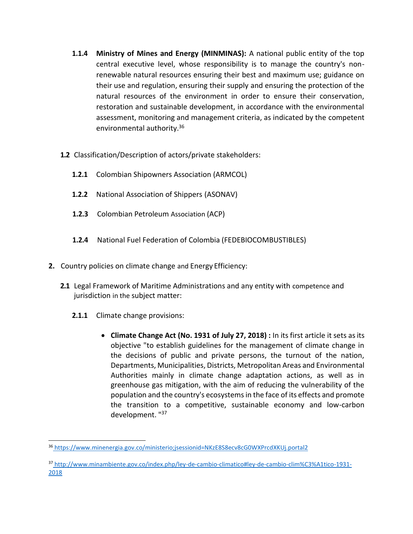- **1.1.4 Ministry of Mines and Energy (MINMINAS):** A national public entity of the top central executive level, whose responsibility is to manage the country's nonrenewable natural resources ensuring their best and maximum use; guidance on their use and regulation, ensuring their supply and ensuring the protection of the natural resources of the environment in order to ensure their conservation, restoration and sustainable development, in accordance with the environmental assessment, monitoring and management criteria, as indicated by the competent environmental authority.<sup>36</sup>
- **1.2** Classification/Description of actors/private stakeholders:
	- **1.2.1** Colombian Shipowners Association (ARMCOL)
	- **1.2.2** National Association of Shippers (ASONAV)
	- **1.2.3** Colombian Petroleum Association (ACP)
	- **1.2.4** National Fuel Federation of Colombia (FEDEBIOCOMBUSTIBLES)
- **2.** Country policies on climate change and Energy Efficiency:
	- **2.1** Legal Framework of Maritime Administrations and any entity with competence and jurisdiction in the subject matter:
		- **2.1.1** Climate change provisions:
			- **Climate Change Act (No. 1931 of July 27, 2018) :** In its first article it sets asits objective "to establish guidelines for the management of climate change in the decisions of public and private persons, the turnout of the nation, Departments, Municipalities, Districts, Metropolitan Areas and Environmental Authorities mainly in climate change adaptation actions, as well as in greenhouse gas mitigation, with the aim of reducing the vulnerability of the population and the country's ecosystemsin the face of its effects and promote the transition to a competitive, sustainable economy and low-carbon development. "<sup>37</sup>

<sup>36</sup> [https://www.minenergia.gov.co/ministerio;jsessionid=NKzE8S8ecv8cG0WXPrcdXKUj.portal2](https://www.minenergia.gov.co/ministerio%3Bjsessionid%3DNKzE8S8ecv8cG0WXPrcdXKUj.portal2)

<sup>37</sup> [http://www.minambiente.gov.co/index.php/ley-de-cambio-climatico#ley-de-cambio-clim%C3%A1tico-1931-](http://www.minambiente.gov.co/index.php/ley-de-cambio-climatico#ley-de-cambio-clim%C3%A1tico-1931-2018) [2018](http://www.minambiente.gov.co/index.php/ley-de-cambio-climatico#ley-de-cambio-clim%C3%A1tico-1931-2018)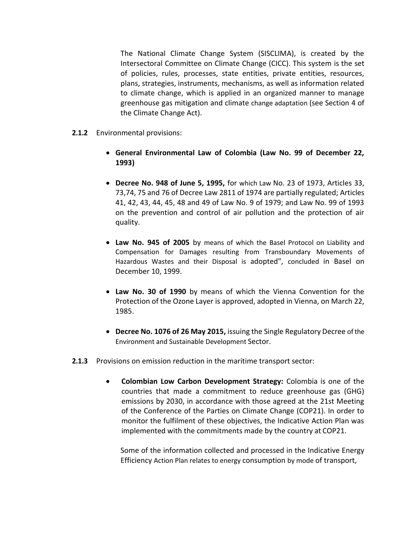The National Climate Change System (SISCLIMA), is created by the Intersectoral Committee on Climate Change (CICC). This system is the set of policies, rules, processes, state entities, private entities, resources, plans, strategies, instruments, mechanisms, as well as information related to climate change, which is applied in an organized manner to manage greenhouse gas mitigation and climate change adaptation (see Section 4 of the Climate Change Act).

- **2.1.2** Environmental provisions:
	- **General Environmental Law of Colombia (Law No. 99 of December 22, 1993)**
	- **Decree No. 948 of June 5, 1995,** for which Law No. 23 of 1973, Articles 33, 73,74, 75 and 76 of Decree Law 2811 of 1974 are partially regulated; Articles 41, 42, 43, 44, 45, 48 and 49 of Law No. 9 of 1979; and Law No. 99 of 1993 on the prevention and control of air pollution and the protection of air quality.
	- **Law No. 945 of 2005** by means of which the Basel Protocol on Liability and Compensation for Damages resulting from Transboundary Movements of Hazardous Wastes and their Disposal is adopted", concluded in Basel on December 10, 1999.
	- **Law No. 30 of 1990** by means of which the Vienna Convention for the Protection of the Ozone Layer is approved, adopted in Vienna, on March 22, 1985.
	- **Decree No. 1076 of 26 May 2015,** issuing the Single Regulatory Decree of the Environment and Sustainable Development Sector.
- **2.1.3** Provisions on emission reduction in the maritime transport sector:
	- **Colombian Low Carbon Development Strategy:** Colombia is one of the countries that made a commitment to reduce greenhouse gas (GHG) emissions by 2030, in accordance with those agreed at the 21st Meeting of the Conference of the Parties on Climate Change (COP21). In order to monitor the fulfilment of these objectives, the Indicative Action Plan was implemented with the commitments made by the country at COP21.

Some of the information collected and processed in the Indicative Energy Efficiency Action Plan relates to energy consumption by mode of transport,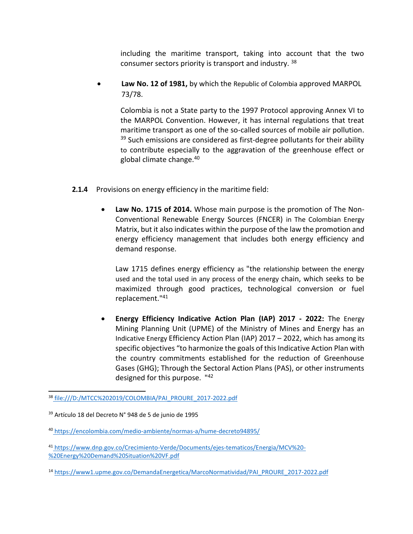including the maritime transport, taking into account that the two consumer sectors priority is transport and industry. <sup>38</sup>

• **Law No. 12 of 1981,** by which the Republic of Colombia approved MARPOL 73/78.

Colombia is not a State party to the 1997 Protocol approving Annex VI to the MARPOL Convention. However, it has internal regulations that treat maritime transport as one of the so-called sources of mobile air pollution.  $39$  Such emissions are considered as first-degree pollutants for their ability to contribute especially to the aggravation of the greenhouse effect or global climate change.<sup>40</sup>

- **2.1.4** Provisions on energy efficiency in the maritime field:
	- **Law No. 1715 of 2014.** Whose main purpose is the promotion of The Non-Conventional Renewable Energy Sources (FNCER) in The Colombian Energy Matrix, but it also indicates within the purpose of the law the promotion and energy efficiency management that includes both energy efficiency and demand response.

Law 1715 defines energy efficiency as "the relationship between the energy used and the total used in any process of the energy chain, which seeks to be maximized through good practices, technological conversion or fuel replacement."<sup>41</sup>

• **Energy Efficiency Indicative Action Plan (IAP) 2017 - 2022:** The Energy Mining Planning Unit (UPME) of the Ministry of Mines and Energy has an Indicative Energy Efficiency Action Plan (IAP) 2017 – 2022, which has among its specific objectives "to harmonize the goals of this Indicative Action Plan with the country commitments established for the reduction of Greenhouse Gases (GHG); Through the Sectoral Action Plans (PAS), or other instruments designed for this purpose. "42

<sup>14</sup> [https://www1.upme.gov.co/DemandaEnergetica/MarcoNormatividad/PAI\\_PROURE\\_2017-2022.pdf](https://www1.upme.gov.co/DemandaEnergetica/MarcoNormatividad/PAI_PROURE_2017-2022.pdf)

<sup>38</sup> file:///D:/MTCC%202019/COLOMBIA/PAI\_PROURE\_2017-2022.pdf

<sup>39</sup> Artículo 18 del Decreto N° 948 de 5 de junio de 1995

<sup>40</sup> <https://encolombia.com/medio-ambiente/normas-a/hume-decreto94895/>

<sup>41</sup> [https://www.dnp.gov.co/Crecimiento-Verde/Documents/ejes-tematicos/Energia/MCV%20-](https://www.dnp.gov.co/Crecimiento-Verde/Documents/ejes-tematicos/Energia/MCV%20-%20Energy%20Demand%20Situation%20VF.pdf) [%20Energy%20Demand%20Situation%20VF.pdf](https://www.dnp.gov.co/Crecimiento-Verde/Documents/ejes-tematicos/Energia/MCV%20-%20Energy%20Demand%20Situation%20VF.pdf)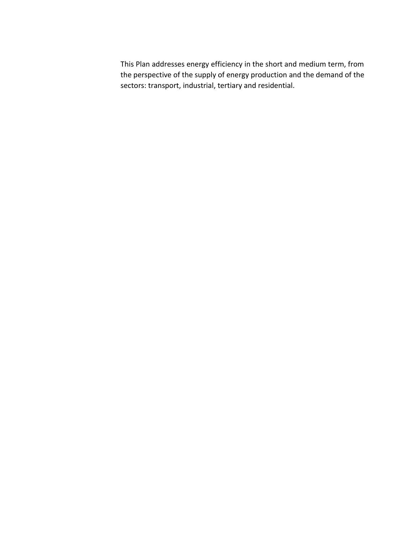This Plan addresses energy efficiency in the short and medium term, from the perspective of the supply of energy production and the demand of the sectors: transport, industrial, tertiary and residential.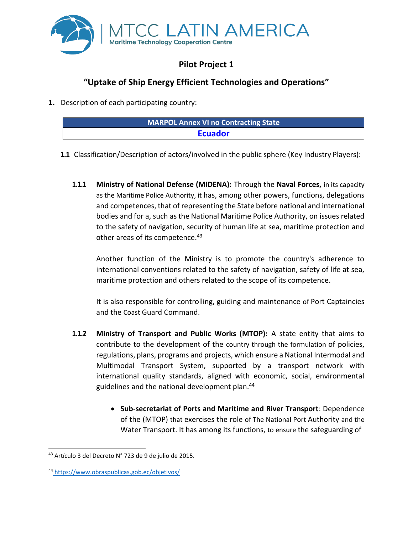

## **Pilot Project 1**

# **"Uptake of Ship Energy Efficient Technologies and Operations"**

**1.** Description of each participating country:

| MARPOL Annex VI no Contracting State |
|--------------------------------------|
| <b>Ecuador</b>                       |
|                                      |

- **1.1** Classification/Description of actors/involved in the public sphere (Key Industry Players):
	- **1.1.1 Ministry of National Defense (MIDENA):** Through the **Naval Forces,** in its capacity as the Maritime Police Authority, it has, among other powers, functions, delegations and competences, that of representing the State before national and international bodies and for a, such as the National Maritime Police Authority, on issues related to the safety of navigation, security of human life at sea, maritime protection and other areas of its competence.<sup>43</sup>

Another function of the Ministry is to promote the country's adherence to international conventions related to the safety of navigation, safety of life at sea, maritime protection and others related to the scope of its competence.

It is also responsible for controlling, guiding and maintenance of Port Captaincies and the Coast Guard Command.

- **1.1.2 Ministry of Transport and Public Works (MTOP):** A state entity that aims to contribute to the development of the country through the formulation of policies, regulations, plans, programs and projects, which ensure a National Intermodal and Multimodal Transport System, supported by a transport network with international quality standards, aligned with economic, social, environmental guidelines and the national development plan.<sup>44</sup>
	- **Sub-secretariat of Ports and Maritime and River Transport**: Dependence of the (MTOP) that exercises the role of The National Port Authority and the Water Transport. It has among its functions, to ensure the safeguarding of

<sup>43</sup> Artículo 3 del Decreto N° 723 de 9 de julio de 2015.

<sup>44</sup> <https://www.obraspublicas.gob.ec/objetivos/>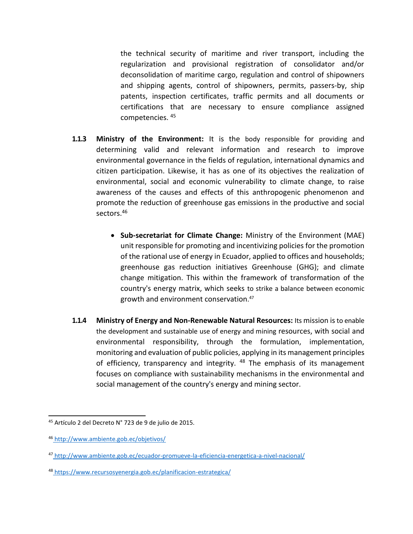the technical security of maritime and river transport, including the regularization and provisional registration of consolidator and/or deconsolidation of maritime cargo, regulation and control of shipowners and shipping agents, control of shipowners, permits, passers-by, ship patents, inspection certificates, traffic permits and all documents or certifications that are necessary to ensure compliance assigned competencies. <sup>45</sup>

- **1.1.3 Ministry of the Environment:** It is the body responsible for providing and determining valid and relevant information and research to improve environmental governance in the fields of regulation, international dynamics and citizen participation. Likewise, it has as one of its objectives the realization of environmental, social and economic vulnerability to climate change, to raise awareness of the causes and effects of this anthropogenic phenomenon and promote the reduction of greenhouse gas emissions in the productive and social sectors.<sup>46</sup>
	- **Sub-secretariat for Climate Change:** Ministry of the Environment (MAE) unit responsible for promoting and incentivizing policies for the promotion of the rational use of energy in Ecuador, applied to offices and households; greenhouse gas reduction initiatives Greenhouse (GHG); and climate change mitigation. This within the framework of transformation of the country's energy matrix, which seeks to strike a balance between economic growth and environment conservation. 47
- **1.1.4 Ministry of Energy and Non-Renewable Natural Resources:** Its mission isto enable the development and sustainable use of energy and mining resources, with social and environmental responsibility, through the formulation, implementation, monitoring and evaluation of public policies, applying in its management principles of efficiency, transparency and integrity. <sup>48</sup> The emphasis of its management focuses on compliance with sustainability mechanisms in the environmental and social management of the country's energy and mining sector.

<sup>45</sup> Artículo 2 del Decreto N° 723 de 9 de julio de 2015.

<sup>46</sup> <http://www.ambiente.gob.ec/objetivos/>

<sup>47</sup> <http://www.ambiente.gob.ec/ecuador-promueve-la-eficiencia-energetica-a-nivel-nacional/>

<sup>48</sup> <https://www.recursosyenergia.gob.ec/planificacion-estrategica/>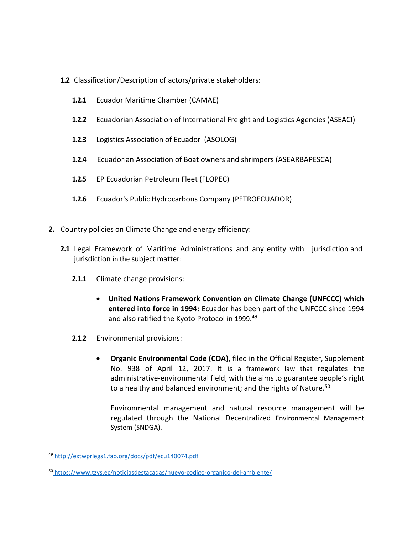- **1.2** Classification/Description of actors/private stakeholders:
	- **1.2.1** Ecuador Maritime Chamber (CAMAE)
	- **1.2.2** Ecuadorian Association of International Freight and Logistics Agencies(ASEACI)
	- **1.2.3** Logistics Association of Ecuador (ASOLOG)
	- **1.2.4** Ecuadorian Association of Boat owners and shrimpers (ASEARBAPESCA)
	- **1.2.5** EP Ecuadorian Petroleum Fleet (FLOPEC)
	- **1.2.6** Ecuador's Public Hydrocarbons Company (PETROECUADOR)
- **2.** Country policies on Climate Change and energy efficiency:
	- **2.1** Legal Framework of Maritime Administrations and any entity with jurisdiction and jurisdiction in the subject matter:
		- **2.1.1** Climate change provisions:
			- **United Nations Framework Convention on Climate Change (UNFCCC) which entered into force in 1994:** Ecuador has been part of the UNFCCC since 1994 and also ratified the Kyoto Protocol in 1999. 49
		- **2.1.2** Environmental provisions:
			- **Organic Environmental Code (COA),** filed in the Official Register, Supplement No. 938 of April 12, 2017: It is a framework law that regulates the administrative-environmental field, with the aimsto guarantee people's right to a healthy and balanced environment; and the rights of Nature.<sup>50</sup>

Environmental management and natural resource management will be regulated through the National Decentralized Environmental Management System (SNDGA).

<sup>49</sup> <http://extwprlegs1.fao.org/docs/pdf/ecu140074.pdf>

<sup>50</sup> <https://www.tzvs.ec/noticiasdestacadas/nuevo-codigo-organico-del-ambiente/>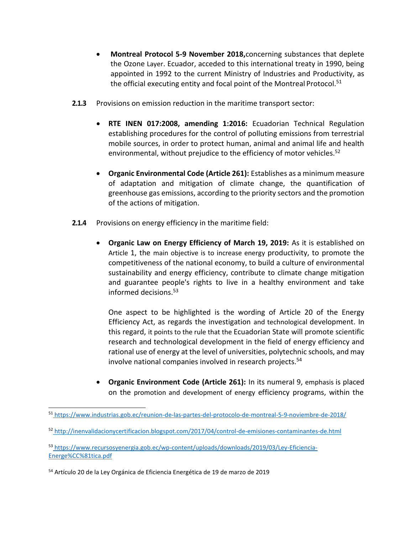- **Montreal Protocol 5-9 November 2018,**concerning substances that deplete the Ozone Layer. Ecuador, acceded to this international treaty in 1990, being appointed in 1992 to the current Ministry of Industries and Productivity, as the official executing entity and focal point of the Montreal Protocol.<sup>51</sup>
- **2.1.3** Provisions on emission reduction in the maritime transport sector:
	- **RTE INEN 017:2008, amending 1:2016:** Ecuadorian Technical Regulation establishing procedures for the control of polluting emissions from terrestrial mobile sources, in order to protect human, animal and animal life and health environmental, without prejudice to the efficiency of motor vehicles.<sup>52</sup>
	- **Organic Environmental Code (Article 261):** Establishes as a minimum measure of adaptation and mitigation of climate change, the quantification of greenhouse gas emissions, according to the priority sectors and the promotion of the actions of mitigation.
- **2.1.4** Provisions on energy efficiency in the maritime field:
	- **Organic Law on Energy Efficiency of March 19, 2019:** As it is established on Article 1, the main objective is to increase energy productivity, to promote the competitiveness of the national economy, to build a culture of environmental sustainability and energy efficiency, contribute to climate change mitigation and guarantee people's rights to live in a healthy environment and take informed decisions.<sup>53</sup>

One aspect to be highlighted is the wording of Article 20 of the Energy Efficiency Act, as regards the investigation and technological development. In this regard, it points to the rule that the Ecuadorian State will promote scientific research and technological development in the field of energy efficiency and rational use of energy at the level of universities, polytechnic schools, and may involve national companies involved in research projects.<sup>54</sup>

• **Organic Environment Code (Article 261):** In its numeral 9, emphasis is placed on the promotion and development of energy efficiency programs, within the

<sup>51</sup> <https://www.industrias.gob.ec/reunion-de-las-partes-del-protocolo-de-montreal-5-9-noviembre-de-2018/>

<sup>52</sup> <http://inenvalidacionycertificacion.blogspot.com/2017/04/control-de-emisiones-contaminantes-de.html>

<sup>53</sup> [https://www.recursosyenergia.gob.ec/wp-content/uploads/downloads/2019/03/Ley-Eficiencia-](https://www.recursosyenergia.gob.ec/wp-content/uploads/downloads/2019/03/Ley-Eficiencia-Energe%CC%81tica.pdf)[Energe%CC%81tica.pdf](https://www.recursosyenergia.gob.ec/wp-content/uploads/downloads/2019/03/Ley-Eficiencia-Energe%CC%81tica.pdf)

<sup>54</sup> Artículo 20 de la Ley Orgánica de Eficiencia Energética de 19 de marzo de 2019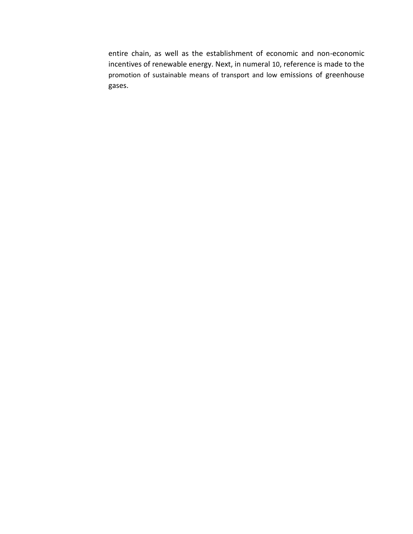entire chain, as well as the establishment of economic and non-economic incentives of renewable energy. Next, in numeral 10, reference is made to the promotion of sustainable means of transport and low emissions of greenhouse gases.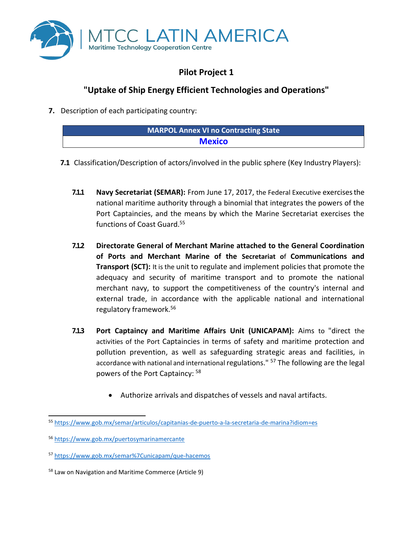

# **Pilot Project 1**

## **"Uptake of Ship Energy Efficient Technologies and Operations"**

**7.** Description of each participating country:

| <b>MARPOL Annex VI no Contracting State</b> |  |
|---------------------------------------------|--|
| <b>Mexico</b>                               |  |
|                                             |  |

- **7.1** Classification/Description of actors/involved in the public sphere (Key Industry Players):
	- **7.1.1 Navy Secretariat (SEMAR):** From June 17, 2017, the Federal Executive exercisesthe national maritime authority through a binomial that integrates the powers of the Port Captaincies, and the means by which the Marine Secretariat exercises the functions of Coast Guard.<sup>55</sup>
	- **7.1.2 Directorate General of Merchant Marine attached to the General Coordination of Ports and Merchant Marine of the Secretariat o**f **Communications and Transport (SCT):** It is the unit to regulate and implement policies that promote the adequacy and security of maritime transport and to promote the national merchant navy, to support the competitiveness of the country's internal and external trade, in accordance with the applicable national and international regulatory framework.<sup>56</sup>
	- **7.1.3 Port Captaincy and Maritime Affairs Unit (UNICAPAM):** Aims to "direct the activities of the Port Captaincies in terms of safety and maritime protection and pollution prevention, as well as safeguarding strategic areas and facilities, in accordance with national and international regulations." <sup>57</sup> The following are the legal powers of the Port Captaincy: <sup>58</sup>
		- Authorize arrivals and dispatches of vessels and naval artifacts.

<sup>55</sup> <https://www.gob.mx/semar/articulos/capitanias-de-puerto-a-la-secretaria-de-marina?idiom=es>

<sup>56</sup> <https://www.gob.mx/puertosymarinamercante>

<sup>57</sup> <https://www.gob.mx/semar%7Cunicapam/que-hacemos>

<sup>58</sup> Law on Navigation and Maritime Commerce (Article 9)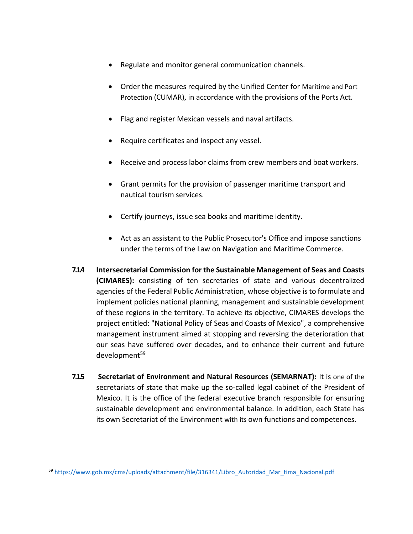- Regulate and monitor general communication channels.
- Order the measures required by the Unified Center for Maritime and Port Protection (CUMAR), in accordance with the provisions of the Ports Act.
- Flag and register Mexican vessels and naval artifacts.
- Require certificates and inspect any vessel.
- Receive and process labor claims from crew members and boat workers.
- Grant permits for the provision of passenger maritime transport and nautical tourism services.
- Certify journeys, issue sea books and maritime identity.
- Act as an assistant to the Public Prosecutor's Office and impose sanctions under the terms of the Law on Navigation and Maritime Commerce.
- **7.1.4 Intersecretarial Commission for the Sustainable Management of Seas and Coasts (CIMARES):** consisting of ten secretaries of state and various decentralized agencies of the Federal Public Administration, whose objective is to formulate and implement policies national planning, management and sustainable development of these regions in the territory. To achieve its objective, CIMARES develops the project entitled: "National Policy of Seas and Coasts of Mexico", a comprehensive management instrument aimed at stopping and reversing the deterioration that our seas have suffered over decades, and to enhance their current and future development<sup>59</sup>
- **7.1.5 Secretariat of Environment and Natural Resources (SEMARNAT):** It is one of the secretariats of state that make up the so-called legal cabinet of the President of Mexico. It is the office of the federal executive branch responsible for ensuring sustainable development and environmental balance. In addition, each State has its own Secretariat of the Environment with its own functions and competences.

<sup>59</sup> [https://www.gob.mx/cms/uploads/attachment/file/316341/Libro\\_Autoridad\\_Mar\\_tima\\_Nacional.pdf](https://www.gob.mx/cms/uploads/attachment/file/316341/Libro_Autoridad_Mar_tima_Nacional.pdf)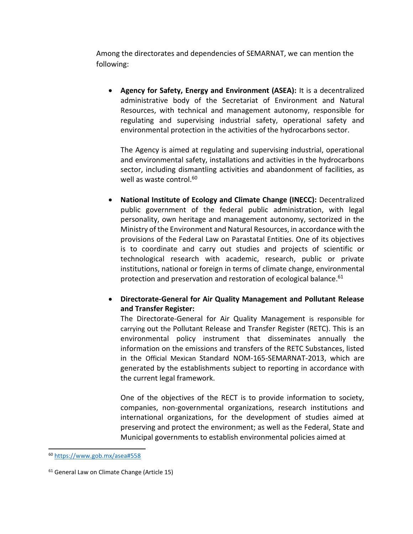Among the directorates and dependencies of SEMARNAT, we can mention the following:

• **Agency for Safety, Energy and Environment (ASEA):** It is a decentralized administrative body of the Secretariat of Environment and Natural Resources, with technical and management autonomy, responsible for regulating and supervising industrial safety, operational safety and environmental protection in the activities of the hydrocarbons sector.

The Agency is aimed at regulating and supervising industrial, operational and environmental safety, installations and activities in the hydrocarbons sector, including dismantling activities and abandonment of facilities, as well as waste control.<sup>60</sup>

• **National Institute of Ecology and Climate Change (INECC):** Decentralized public government of the federal public administration, with legal personality, own heritage and management autonomy, sectorized in the Ministry of the Environment and Natural Resources, in accordance with the provisions of the Federal Law on Parastatal Entities. One of its objectives is to coordinate and carry out studies and projects of scientific or technological research with academic, research, public or private institutions, national or foreign in terms of climate change, environmental protection and preservation and restoration of ecological balance.<sup>61</sup>

#### • **Directorate-General for Air Quality Management and Pollutant Release and Transfer Register:**

The Directorate-General for Air Quality Management is responsible for carrying out the Pollutant Release and Transfer Register (RETC). This is an environmental policy instrument that disseminates annually the information on the emissions and transfers of the RETC Substances, listed in the Official Mexican Standard NOM-165-SEMARNAT-2013, which are generated by the establishments subject to reporting in accordance with the current legal framework.

One of the objectives of the RECT is to provide information to society, companies, non-governmental organizations, research institutions and international organizations, for the development of studies aimed at preserving and protect the environment; as well as the Federal, State and Municipal governments to establish environmental policies aimed at

<sup>60</sup> <https://www.gob.mx/asea#558>

<sup>&</sup>lt;sup>61</sup> General Law on Climate Change (Article 15)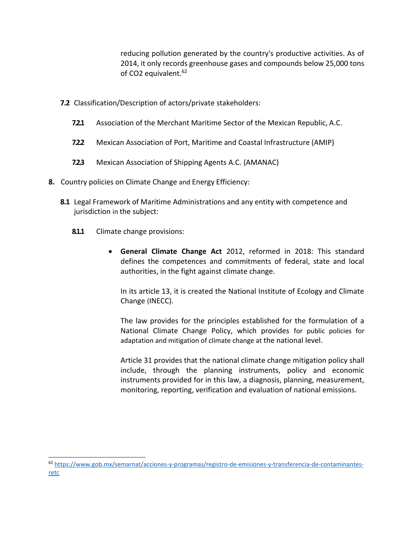reducing pollution generated by the country's productive activities. As of 2014, it only records greenhouse gases and compounds below 25,000 tons of CO2 equivalent.<sup>62</sup>

- **7.2** Classification/Description of actors/private stakeholders:
	- **7.2.1** Association of the Merchant Maritime Sector of the Mexican Republic, A.C.
	- **7.2.2** Mexican Association of Port, Maritime and Coastal Infrastructure (AMIP)
	- **7.2.3** Mexican Association of Shipping Agents A.C. (AMANAC)
- **8.** Country policies on Climate Change and Energy Efficiency:
	- **8.1** Legal Framework of Maritime Administrations and any entity with competence and jurisdiction in the subject:
		- **8.1.1** Climate change provisions:
			- **General Climate Change Act** 2012, reformed in 2018: This standard defines the competences and commitments of federal, state and local authorities, in the fight against climate change.

In its article 13, it is created the National Institute of Ecology and Climate Change (INECC).

The law provides for the principles established for the formulation of a National Climate Change Policy, which provides for public policies for adaptation and mitigation of climate change at the national level.

Article 31 provides that the national climate change mitigation policy shall include, through the planning instruments, policy and economic instruments provided for in this law, a diagnosis, planning, measurement, monitoring, reporting, verification and evaluation of national emissions.

<sup>62</sup> [https://www.gob.mx/semarnat/acciones-y-programas/registro-de-emisiones-y-transferencia-de-contaminantes](https://www.gob.mx/semarnat/acciones-y-programas/registro-de-emisiones-y-transferencia-de-contaminantes-retc)[retc](https://www.gob.mx/semarnat/acciones-y-programas/registro-de-emisiones-y-transferencia-de-contaminantes-retc)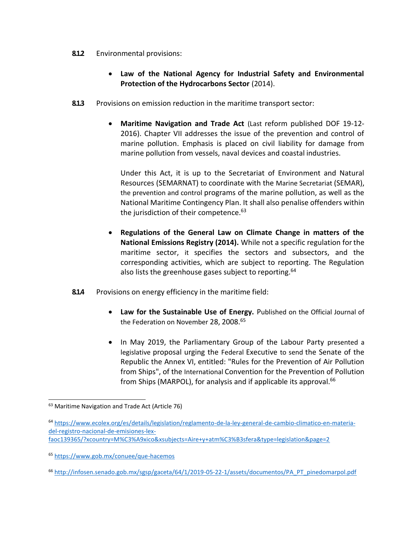- **8.1.2** Environmental provisions:
	- **Law of the National Agency for Industrial Safety and Environmental Protection of the Hydrocarbons Sector** (2014).
- **8.1.3** Provisions on emission reduction in the maritime transport sector:
	- **Maritime Navigation and Trade Act** (Last reform published DOF 19-12- 2016). Chapter VII addresses the issue of the prevention and control of marine pollution. Emphasis is placed on civil liability for damage from marine pollution from vessels, naval devices and coastal industries.

Under this Act, it is up to the Secretariat of Environment and Natural Resources (SEMARNAT) to coordinate with the Marine Secretariat (SEMAR), the prevention and control programs of the marine pollution, as well as the National Maritime Contingency Plan. It shall also penalise offenders within the jurisdiction of their competence. $63$ 

- **Regulations of the General Law on Climate Change in matters of the National Emissions Registry (2014).** While not a specific regulation forthe maritime sector, it specifies the sectors and subsectors, and the corresponding activities, which are subject to reporting. The Regulation also lists the greenhouse gases subject to reporting.  $64$
- **8.14** Provisions on energy efficiency in the maritime field:
	- **Law for the Sustainable Use of Energy.** Published on the Official Journal of the Federation on November 28, 2008.<sup>65</sup>
	- In May 2019, the Parliamentary Group of the Labour Party presented a legislative proposal urging the Federal Executive to send the Senate of the Republic the Annex VI, entitled: "Rules for the Prevention of Air Pollution from Ships", of the International Convention for the Prevention of Pollution from Ships (MARPOL), for analysis and if applicable its approval.<sup>66</sup>

<sup>63</sup> Maritime Navigation and Trade Act (Article 76)

<sup>64</sup> [https://www.ecolex.org/es/details/legislation/reglamento-de-la-ley-general-de-cambio-climatico-en-materia](https://www.ecolex.org/es/details/legislation/reglamento-de-la-ley-general-de-cambio-climatico-en-materia-del-registro-nacional-de-emisiones-lex-faoc139365/?xcountry=M%C3%A9xico&xsubjects=Aire%2By%2Batm%C3%B3sfera&type=legislation&page=2)[del-registro-nacional-de-emisiones-lex-](https://www.ecolex.org/es/details/legislation/reglamento-de-la-ley-general-de-cambio-climatico-en-materia-del-registro-nacional-de-emisiones-lex-faoc139365/?xcountry=M%C3%A9xico&xsubjects=Aire%2By%2Batm%C3%B3sfera&type=legislation&page=2)

[faoc139365/?xcountry=M%C3%A9xico&xsubjects=Aire+y+atm%C3%B3sfera&type=legislation&page=2](https://www.ecolex.org/es/details/legislation/reglamento-de-la-ley-general-de-cambio-climatico-en-materia-del-registro-nacional-de-emisiones-lex-faoc139365/?xcountry=M%C3%A9xico&xsubjects=Aire%2By%2Batm%C3%B3sfera&type=legislation&page=2)

<sup>65</sup> <https://www.gob.mx/conuee/que-hacemos>

<sup>66</sup> [http://infosen.senado.gob.mx/sgsp/gaceta/64/1/2019-05-22-1/assets/documentos/PA\\_PT\\_pinedomarpol.pdf](http://infosen.senado.gob.mx/sgsp/gaceta/64/1/2019-05-22-1/assets/documentos/PA_PT_pinedomarpol.pdf)